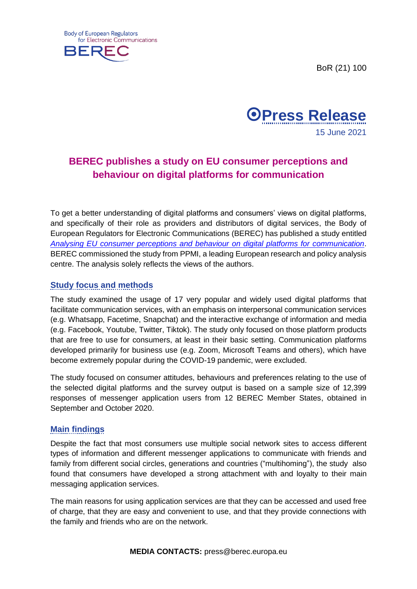BoR (21) 100





## **BEREC publishes a study on EU consumer perceptions and behaviour on digital platforms for communication**

To get a better understanding of digital platforms and consumers' views on digital platforms, and specifically of their role as providers and distributors of digital services, the Body of European Regulators for Electronic Communications (BEREC) has published a study entitled *[Analysing EU consumer perceptions and behaviour on digital platforms for communication](https://berec.europa.eu/files/document_register_store/2021/6/BoR_(21)_89_Consumer_Behaviour_and_Digital_Platforms_Report.pdf)*. BEREC commissioned the study from PPMI, a leading European research and policy analysis centre. The analysis solely reflects the views of the authors.

## **Study focus and methods**

The study examined the usage of 17 very popular and widely used digital platforms that facilitate communication services, with an emphasis on interpersonal communication services (e.g. Whatsapp, Facetime, Snapchat) and the interactive exchange of information and media (e.g. Facebook, Youtube, Twitter, Tiktok). The study only focused on those platform products that are free to use for consumers, at least in their basic setting. Communication platforms developed primarily for business use (e.g. Zoom, Microsoft Teams and others), which have become extremely popular during the COVID-19 pandemic, were excluded.

The study focused on consumer attitudes, behaviours and preferences relating to the use of the selected digital platforms and the survey output is based on a sample size of 12,399 responses of messenger application users from 12 BEREC Member States, obtained in September and October 2020.

## **Main findings**

Despite the fact that most consumers use multiple social network sites to access different types of information and different messenger applications to communicate with friends and family from different social circles, generations and countries ("multihoming"), the study also found that consumers have developed a strong attachment with and loyalty to their main messaging application services.

The main reasons for using application services are that they can be accessed and used free of charge, that they are easy and convenient to use, and that they provide connections with the family and friends who are on the network.